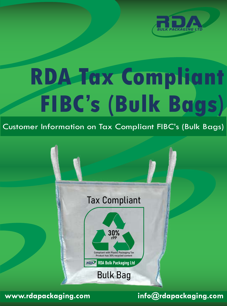

# **RDA Tax Compliant FIBC's (Bulk Bags)**

Customer Information on Tax Compliant FIBC's (Bulk Bags)





**www.rdapackaging.com info@rdapackaging.com**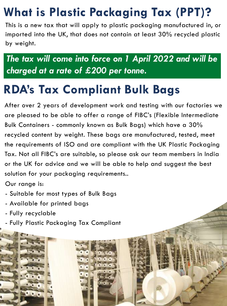### **What is Plastic Packaging Tax (PPT)?**

This is a new tax that will apply to plastic packaging manufactured in, or imported into the UK, that does not contain at least 30% recycled plastic by weight.

*The tax will come into force on 1 April 2022 and will be charged at a rate of £200 per tonne.*

#### **RDA's Tax Compliant Bulk Bags**

After over 2 years of development work and testing with our factories we are pleased to be able to offer a range of FIBC's (Flexible Intermediate Bulk Containers - commonly known as Bulk Bags) which have a 30% recycled content by weight. These bags are manufactured, tested, meet the requirements of ISO and are compliant with the UK Plastic Packaging Tax. Not all FIBC's are suitable, so please ask our team members in India or the UK for advice and we will be able to help and suggest the best solution for your packaging requirements..

Our range is:

- Suitable for most types of Bulk Bags
- Available for printed bags
- Fully recyclable
- Fully Plastic Packaging Tax Compliant